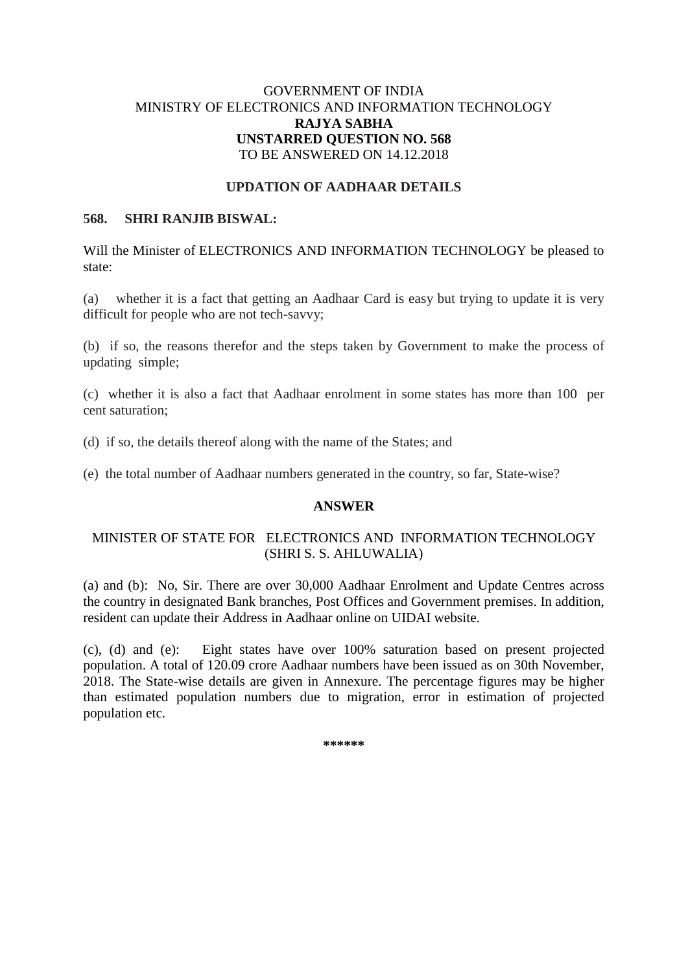## GOVERNMENT OF INDIA MINISTRY OF ELECTRONICS AND INFORMATION TECHNOLOGY **RAJYA SABHA UNSTARRED QUESTION NO. 568** TO BE ANSWERED ON 14.12.2018

### **UPDATION OF AADHAAR DETAILS**

#### **568. SHRI RANJIB BISWAL:**

Will the Minister of ELECTRONICS AND INFORMATION TECHNOLOGY be pleased to state:

(a) whether it is a fact that getting an Aadhaar Card is easy but trying to update it is very difficult for people who are not tech-savvy;

(b) if so, the reasons therefor and the steps taken by Government to make the process of updating simple;

(c) whether it is also a fact that Aadhaar enrolment in some states has more than 100 per cent saturation;

(d) if so, the details thereof along with the name of the States; and

(e) the total number of Aadhaar numbers generated in the country, so far, State-wise?

#### **ANSWER**

## MINISTER OF STATE FOR ELECTRONICS AND INFORMATION TECHNOLOGY (SHRI S. S. AHLUWALIA)

(a) and (b): No, Sir. There are over 30,000 Aadhaar Enrolment and Update Centres across the country in designated Bank branches, Post Offices and Government premises. In addition, resident can update their Address in Aadhaar online on UIDAI website.

(c), (d) and (e):Eight states have over 100% saturation based on present projected population. A total of 120.09 crore Aadhaar numbers have been issued as on 30th November, 2018. The State-wise details are given in Annexure. The percentage figures may be higher than estimated population numbers due to migration, error in estimation of projected population etc.

**\*\*\*\*\*\***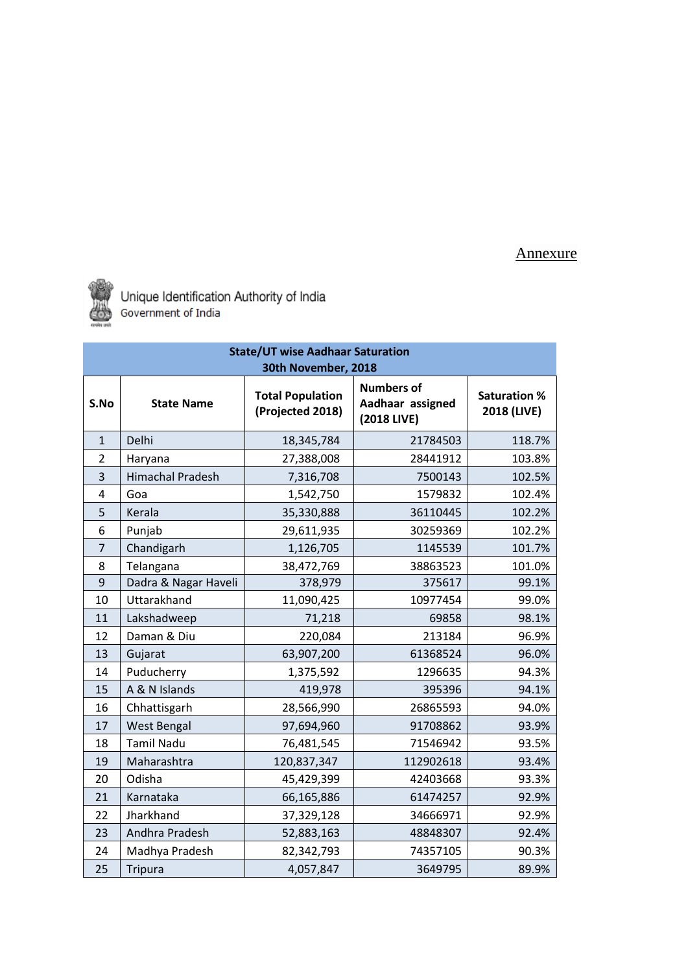# Annexure



Unique Identification Authority of India<br>Government of India

| <b>State/UT wise Aadhaar Saturation</b><br>30th November, 2018 |                         |                                             |                                                      |                                    |  |  |
|----------------------------------------------------------------|-------------------------|---------------------------------------------|------------------------------------------------------|------------------------------------|--|--|
| S.No                                                           | <b>State Name</b>       | <b>Total Population</b><br>(Projected 2018) | <b>Numbers of</b><br>Aadhaar assigned<br>(2018 LIVE) | <b>Saturation %</b><br>2018 (LIVE) |  |  |
| $\mathbf{1}$                                                   | Delhi                   | 18,345,784                                  | 21784503                                             | 118.7%                             |  |  |
| 2                                                              | Haryana                 | 27,388,008                                  | 28441912                                             | 103.8%                             |  |  |
| 3                                                              | <b>Himachal Pradesh</b> | 7,316,708                                   | 7500143                                              | 102.5%                             |  |  |
| 4                                                              | Goa                     | 1,542,750                                   | 1579832                                              | 102.4%                             |  |  |
| 5                                                              | Kerala                  | 35,330,888                                  | 36110445                                             | 102.2%                             |  |  |
| 6                                                              | Punjab                  | 29,611,935                                  | 30259369                                             | 102.2%                             |  |  |
| $\overline{7}$                                                 | Chandigarh              | 1,126,705                                   | 1145539                                              | 101.7%                             |  |  |
| 8                                                              | Telangana               | 38,472,769                                  | 38863523                                             | 101.0%                             |  |  |
| 9                                                              | Dadra & Nagar Haveli    | 378,979                                     | 375617                                               | 99.1%                              |  |  |
| 10                                                             | Uttarakhand             | 11,090,425                                  | 10977454                                             | 99.0%                              |  |  |
| 11                                                             | Lakshadweep             | 71,218                                      | 69858                                                | 98.1%                              |  |  |
| 12                                                             | Daman & Diu             | 220,084                                     | 213184                                               | 96.9%                              |  |  |
| 13                                                             | Gujarat                 | 63,907,200                                  | 61368524                                             | 96.0%                              |  |  |
| 14                                                             | Puducherry              | 1,375,592                                   | 1296635                                              | 94.3%                              |  |  |
| 15                                                             | A & N Islands           | 419,978                                     | 395396                                               | 94.1%                              |  |  |
| 16                                                             | Chhattisgarh            | 28,566,990                                  | 26865593                                             | 94.0%                              |  |  |
| 17                                                             | <b>West Bengal</b>      | 97,694,960                                  | 91708862                                             | 93.9%                              |  |  |
| 18                                                             | <b>Tamil Nadu</b>       | 76,481,545                                  | 71546942                                             | 93.5%                              |  |  |
| 19                                                             | Maharashtra             | 120,837,347                                 | 112902618                                            | 93.4%                              |  |  |
| 20                                                             | Odisha                  | 45,429,399                                  | 42403668                                             | 93.3%                              |  |  |
| 21                                                             | Karnataka               | 66,165,886                                  | 61474257                                             | 92.9%                              |  |  |
| 22                                                             | Jharkhand               | 37,329,128                                  | 34666971                                             | 92.9%                              |  |  |
| 23                                                             | Andhra Pradesh          | 52,883,163                                  | 48848307                                             | 92.4%                              |  |  |
| 24                                                             | Madhya Pradesh          | 82,342,793                                  | 74357105                                             | 90.3%                              |  |  |
| 25                                                             | <b>Tripura</b>          | 4,057,847                                   | 3649795                                              | 89.9%                              |  |  |